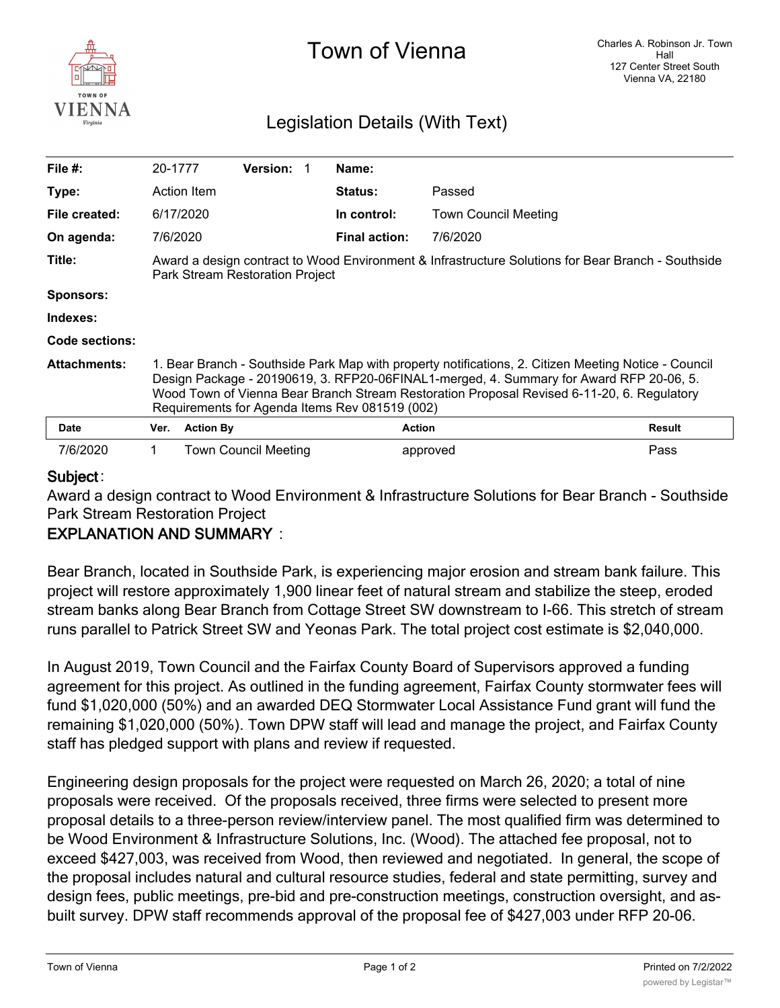

# Town of Vienna

## Legislation Details (With Text)

| File $#$ :          | 20-1777                                                                                                                                                                                                                                                                                                                                         |                  | <b>Version:</b>      |  | Name:                |                             |               |
|---------------------|-------------------------------------------------------------------------------------------------------------------------------------------------------------------------------------------------------------------------------------------------------------------------------------------------------------------------------------------------|------------------|----------------------|--|----------------------|-----------------------------|---------------|
| Type:               |                                                                                                                                                                                                                                                                                                                                                 | Action Item      |                      |  | <b>Status:</b>       | Passed                      |               |
| File created:       |                                                                                                                                                                                                                                                                                                                                                 | 6/17/2020        |                      |  | In control:          | <b>Town Council Meeting</b> |               |
| On agenda:          | 7/6/2020                                                                                                                                                                                                                                                                                                                                        |                  |                      |  | <b>Final action:</b> | 7/6/2020                    |               |
| Title:              | Award a design contract to Wood Environment & Infrastructure Solutions for Bear Branch - Southside<br>Park Stream Restoration Project                                                                                                                                                                                                           |                  |                      |  |                      |                             |               |
| Sponsors:           |                                                                                                                                                                                                                                                                                                                                                 |                  |                      |  |                      |                             |               |
| Indexes:            |                                                                                                                                                                                                                                                                                                                                                 |                  |                      |  |                      |                             |               |
| Code sections:      |                                                                                                                                                                                                                                                                                                                                                 |                  |                      |  |                      |                             |               |
| <b>Attachments:</b> | 1. Bear Branch - Southside Park Map with property notifications, 2. Citizen Meeting Notice - Council<br>Design Package - 20190619, 3. RFP20-06FINAL1-merged, 4. Summary for Award RFP 20-06, 5.<br>Wood Town of Vienna Bear Branch Stream Restoration Proposal Revised 6-11-20, 6. Regulatory<br>Requirements for Agenda Items Rev 081519 (002) |                  |                      |  |                      |                             |               |
| <b>Date</b>         | Ver.                                                                                                                                                                                                                                                                                                                                            | <b>Action By</b> |                      |  | <b>Action</b>        |                             | <b>Result</b> |
| 7/6/2020            |                                                                                                                                                                                                                                                                                                                                                 |                  | Town Council Meeting |  |                      | approved                    | Pass          |

#### **Subject** :

Award a design contract to Wood Environment & Infrastructure Solutions for Bear Branch - Southside Park Stream Restoration Project

### **EXPLANATION AND SUMMARY** :

Bear Branch, located in Southside Park, is experiencing major erosion and stream bank failure. This project will restore approximately 1,900 linear feet of natural stream and stabilize the steep, eroded stream banks along Bear Branch from Cottage Street SW downstream to I-66. This stretch of stream runs parallel to Patrick Street SW and Yeonas Park. The total project cost estimate is \$2,040,000.

In August 2019, Town Council and the Fairfax County Board of Supervisors approved a funding agreement for this project. As outlined in the funding agreement, Fairfax County stormwater fees will fund \$1,020,000 (50%) and an awarded DEQ Stormwater Local Assistance Fund grant will fund the remaining \$1,020,000 (50%). Town DPW staff will lead and manage the project, and Fairfax County staff has pledged support with plans and review if requested.

Engineering design proposals for the project were requested on March 26, 2020; a total of nine proposals were received. Of the proposals received, three firms were selected to present more proposal details to a three-person review/interview panel. The most qualified firm was determined to be Wood Environment & Infrastructure Solutions, Inc. (Wood). The attached fee proposal, not to exceed \$427,003, was received from Wood, then reviewed and negotiated. In general, the scope of the proposal includes natural and cultural resource studies, federal and state permitting, survey and design fees, public meetings, pre-bid and pre-construction meetings, construction oversight, and asbuilt survey. DPW staff recommends approval of the proposal fee of \$427,003 under RFP 20-06.